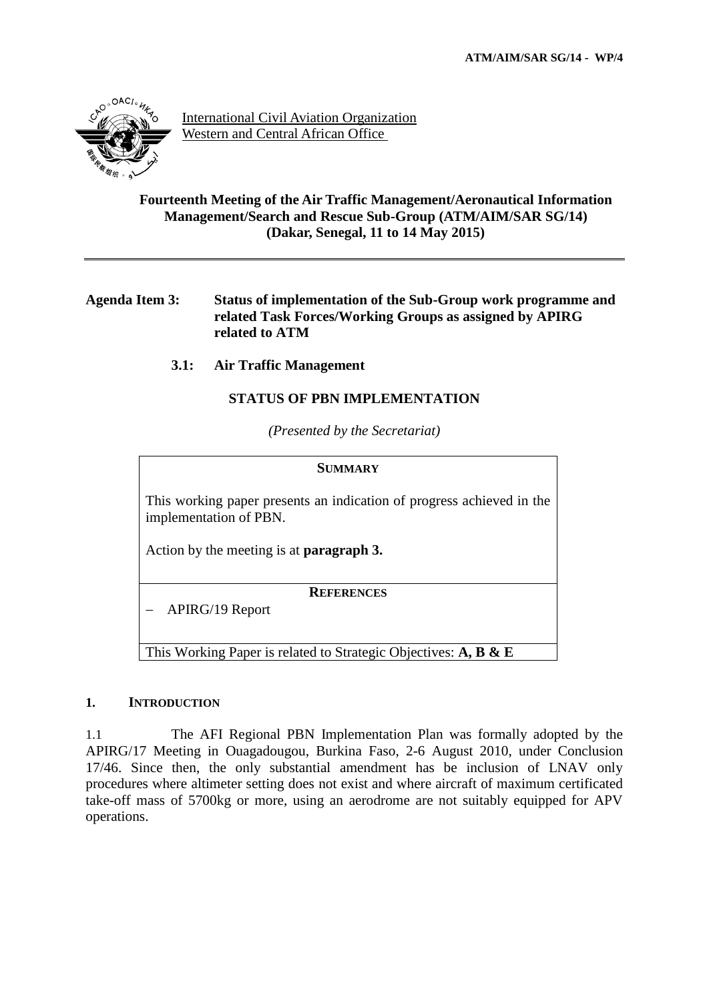

International Civil Aviation Organization Western and Central African Office

### **Fourteenth Meeting of the Air Traffic Management/Aeronautical Information Management/Search and Rescue Sub-Group (ATM/AIM/SAR SG/14) (Dakar, Senegal, 11 to 14 May 2015)**

## **Agenda Item 3: Status of implementation of the Sub-Group work programme and related Task Forces/Working Groups as assigned by APIRG related to ATM**

# **3.1: Air Traffic Management**

## **STATUS OF PBN IMPLEMENTATION**

*(Presented by the Secretariat)*

#### **SUMMARY**

This working paper presents an indication of progress achieved in the implementation of PBN.

Action by the meeting is at **paragraph 3.**

**REFERENCES**

APIRG/19 Report

This Working Paper is related to Strategic Objectives: **A, B & E**

### **1. INTRODUCTION**

1.1 The AFI Regional PBN Implementation Plan was formally adopted by the APIRG/17 Meeting in Ouagadougou, Burkina Faso, 2-6 August 2010, under Conclusion 17/46. Since then, the only substantial amendment has be inclusion of LNAV only procedures where altimeter setting does not exist and where aircraft of maximum certificated take-off mass of 5700kg or more, using an aerodrome are not suitably equipped for APV operations.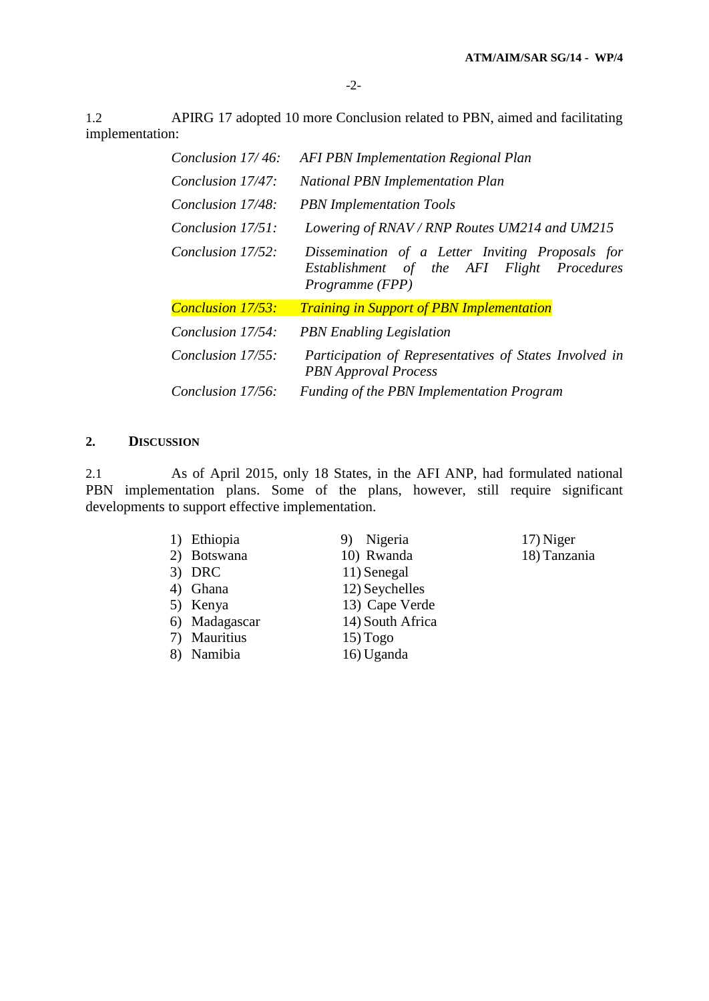1.2 APIRG 17 adopted 10 more Conclusion related to PBN, aimed and facilitating implementation:

| Conclusion 17/46:        | <b>AFI PBN Implementation Regional Plan</b>                                                                       |  |
|--------------------------|-------------------------------------------------------------------------------------------------------------------|--|
| Conclusion 17/47:        | <b>National PBN Implementation Plan</b>                                                                           |  |
| Conclusion 17/48:        | <b>PBN</b> Implementation Tools                                                                                   |  |
| Conclusion 17/51:        | Lowering of RNAV / RNP Routes UM214 and UM215                                                                     |  |
| Conclusion 17/52:        | Dissemination of a Letter Inviting Proposals for<br>Establishment of the AFI Flight Procedures<br>Programme (FPP) |  |
| <b>Conclusion 17/53:</b> | <b>Training in Support of PBN Implementation</b>                                                                  |  |
| Conclusion 17/54:        | <b>PBN</b> Enabling Legislation                                                                                   |  |
| Conclusion 17/55:        | Participation of Representatives of States Involved in<br><b>PBN</b> Approval Process                             |  |
| Conclusion 17/56:        | <b>Funding of the PBN Implementation Program</b>                                                                  |  |

# **2. DISCUSSION**

2.1 As of April 2015, only 18 States, in the AFI ANP, had formulated national PBN implementation plans. Some of the plans, however, still require significant developments to support effective implementation.

| 1) Ethiopia   | Nigeria          | 17) Niger    |
|---------------|------------------|--------------|
| 2) Botswana   | 10) Rwanda       | 18) Tanzania |
| $3)$ DRC      | 11) Senegal      |              |
| 4) Ghana      | 12) Seychelles   |              |
| 5) Kenya      | 13) Cape Verde   |              |
| 6) Madagascar | 14) South Africa |              |
| 7) Mauritius  | $15)$ Togo       |              |
| 8) Namibia    | 16) Uganda       |              |
|               |                  |              |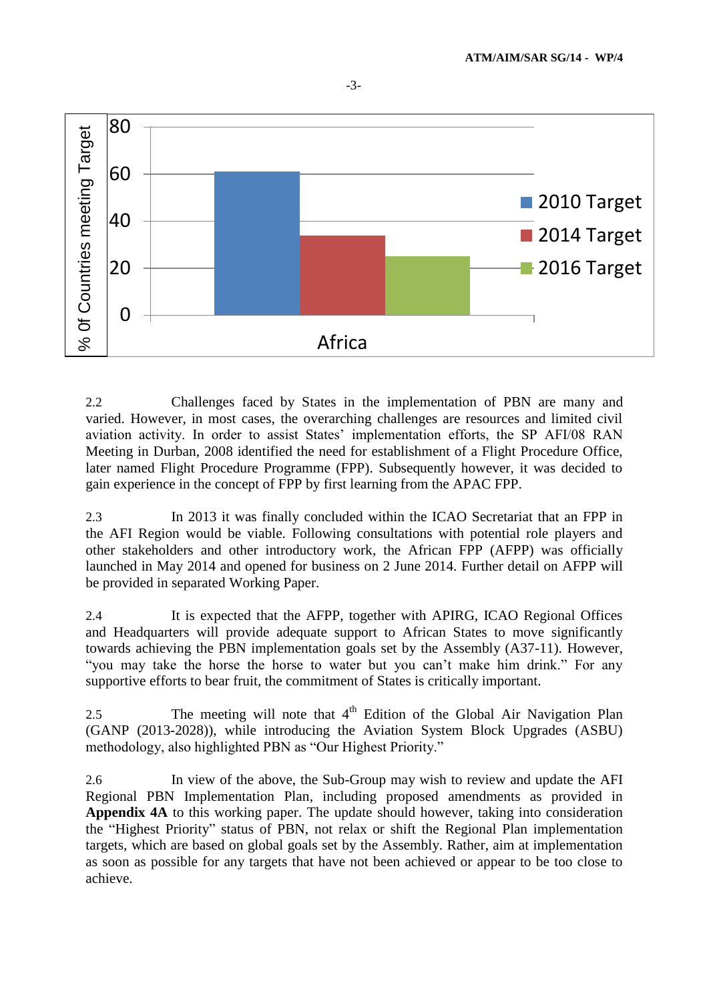

2.2 Challenges faced by States in the implementation of PBN are many and varied. However, in most cases, the overarching challenges are resources and limited civil aviation activity. In order to assist States' implementation efforts, the SP AFI/08 RAN Meeting in Durban, 2008 identified the need for establishment of a Flight Procedure Office, later named Flight Procedure Programme (FPP). Subsequently however, it was decided to gain experience in the concept of FPP by first learning from the APAC FPP.

2.3 In 2013 it was finally concluded within the ICAO Secretariat that an FPP in the AFI Region would be viable. Following consultations with potential role players and other stakeholders and other introductory work, the African FPP (AFPP) was officially launched in May 2014 and opened for business on 2 June 2014. Further detail on AFPP will be provided in separated Working Paper.

2.4 It is expected that the AFPP, together with APIRG, ICAO Regional Offices and Headquarters will provide adequate support to African States to move significantly towards achieving the PBN implementation goals set by the Assembly (A37-11). However, "you may take the horse the horse to water but you can't make him drink." For any supportive efforts to bear fruit, the commitment of States is critically important.

2.5 The meeting will note that  $4<sup>th</sup>$  Edition of the Global Air Navigation Plan (GANP (2013-2028)), while introducing the Aviation System Block Upgrades (ASBU) methodology, also highlighted PBN as "Our Highest Priority."

2.6 In view of the above, the Sub-Group may wish to review and update the AFI Regional PBN Implementation Plan, including proposed amendments as provided in **Appendix 4A** to this working paper. The update should however, taking into consideration the "Highest Priority" status of PBN, not relax or shift the Regional Plan implementation targets, which are based on global goals set by the Assembly. Rather, aim at implementation as soon as possible for any targets that have not been achieved or appear to be too close to achieve.

-3-